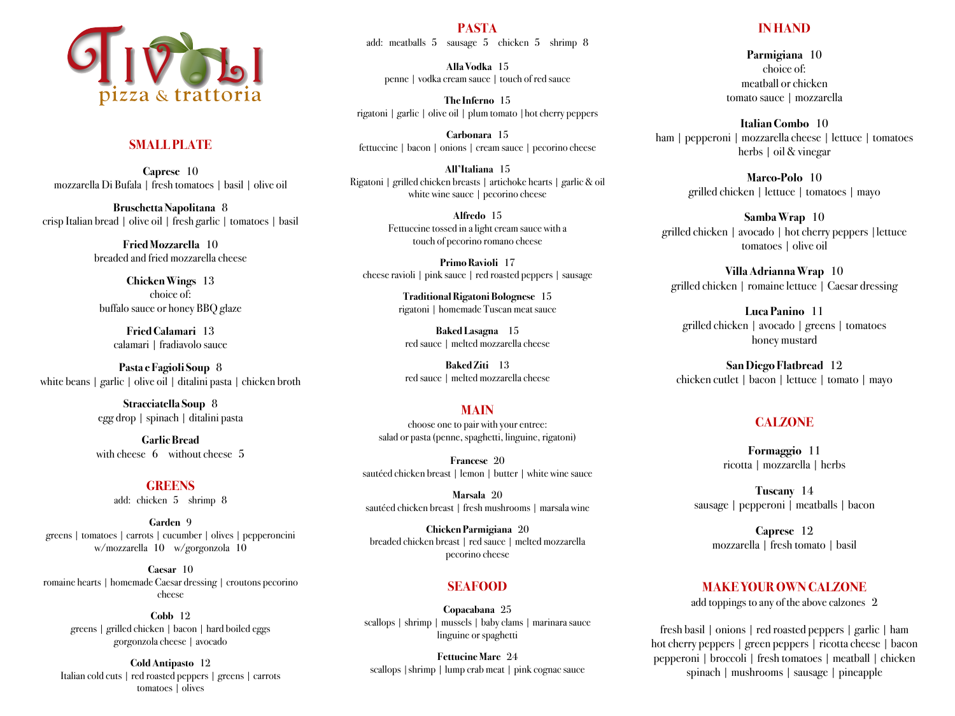

# **SMALL PLATE**

**Caprese** 10 mozzarella Di Bufala | fresh tomatoes | basil | olive oil

**Bruschetta Napolitana** 8 crisp Italian bread | olive oil | fresh garlic | tomatoes | basil

> **Fried Mozzarella** 10 breaded and fried mozzarella cheese

**Chicken Wings** 13 choice of: buffalo sauce or honey BBQ glaze

**Fried Calamari** 13 calamari | fradiavolo sauce

**Pasta e Fagioli Soup** 8 white beans | garlic | olive oil | ditalini pasta | chicken broth

> **Stracciatella Soup** 8 egg drop | spinach | ditalini pasta

> **Garlic Bread** with cheese 6 without cheese 5

> > **GREENS** add: chicken 5 shrimp 8

**Garden** 9 greens | tomatoes | carrots | cucumber | olives | pepperoncini w/mozzarella 10 w/gorgonzola 10

**Caesar** 10 romaine hearts | homemade Caesar dressing | croutons pecorino cheese

> **Cobb** 12 greens | grilled chicken | bacon | hard boiled eggs gorgonzola cheese | avocado

**Cold Antipasto** 12 Italian cold cuts | red roasted peppers | greens | carrots tomatoes | olives

**PASTA** add: meatballs 5 sausage 5 chicken 5 shrimp 8

**Alla Vodka** 15 penne | vodka cream sauce | touch of red sauce

**The Inferno** 15 rigatoni | garlic | olive oil | plum tomato |hot cherry peppers

**Carbonara** 15 fettuccine | bacon | onions | cream sauce | pecorino cheese

**All'Italiana** 15 Rigatoni | grilled chicken breasts | artichoke hearts | garlic & oil white wine sauce | pecorino cheese

> **Alfredo** 15 Fettuccine tossed in a light cream sauce with a touch of pecorino romano cheese

**Primo Ravioli** 17 cheese ravioli | pink sauce | red roasted peppers | sausage

> **Traditional Rigatoni Bolognese** 15 rigatoni | homemade Tuscan meat sauce

**Baked Lasagna** 15 red sauce | melted mozzarella cheese

**Baked Ziti** 13 red sauce | melted mozzarella cheese

## **MAIN**

choose one to pair with your entree: salad or pasta(penne, spaghetti, linguine, rigatoni)

**Francese** 20 sautéed chicken breast | lemon | butter | white wine sauce

**Marsala** 20 sautéed chicken breast | fresh mushrooms | marsala wine

**Chicken Parmigiana** 20 breaded chicken breast | red sauce | melted mozzarella pecorino cheese

## **SEAFOOD**

**Copacabana** 25 scallops | shrimp | mussels | baby clams | marinara sauce linguine or spaghetti

**Fettucine Mare** 24 scallops |shrimp | lump crab meat | pink cognac sauce

## **IN HAND**

**Parmigiana** 10 choice of: meatball or chicken tomato sauce | mozzarella

**Italian Combo** 10 ham | pepperoni | mozzarella cheese | lettuce | tomatoes herbs | oil & vinegar

> **Marco-Polo** 10 grilled chicken | lettuce | tomatoes | mayo

**Samba Wrap** 10 grilled chicken | avocado | hot cherry peppers |lettuce tomatoes | olive oil

**Villa Adrianna Wrap** 10 grilled chicken | romaine lettuce | Caesar dressing

**Luca Panino** 11 grilled chicken | avocado | greens | tomatoes honey mustard

**San Diego Flatbread** 12 chicken cutlet | bacon | lettuce | tomato | mayo

# **CALZONE**

**Formaggio** 11 ricotta | mozzarella | herbs

**Tuscany** 14 sausage | pepperoni | meatballs | bacon

**Caprese** 12 mozzarella | fresh tomato | basil

## **MAKE YOUR OWN CALZONE**

add toppings to any of the above calzones 2

fresh basil | onions | red roasted peppers | garlic | ham hot cherry peppers | green peppers | ricotta cheese | bacon pepperoni | broccoli | fresh tomatoes | meatball | chicken spinach | mushrooms | sausage | pineapple